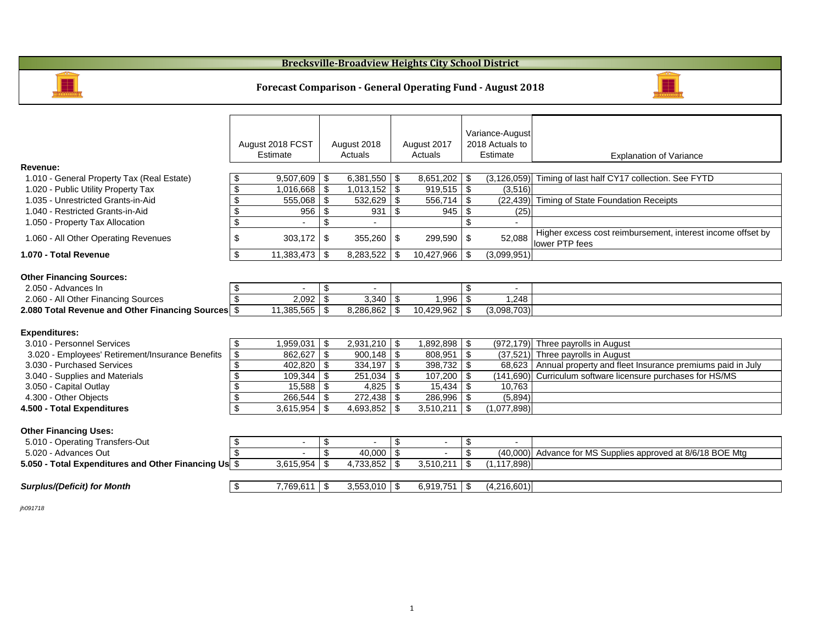|                                                        |                            | August 2018 FCST<br>Estimate |                            | August 2018<br>Actuals         |                       | August 2017<br>Actuals |                                  | Variance-August<br>2018 Actuals to<br>Estimate | <b>Explanation of Variance</b>                                               |
|--------------------------------------------------------|----------------------------|------------------------------|----------------------------|--------------------------------|-----------------------|------------------------|----------------------------------|------------------------------------------------|------------------------------------------------------------------------------|
| <b>Revenue:</b>                                        |                            |                              |                            |                                |                       |                        |                                  |                                                |                                                                              |
| 1.010 - General Property Tax (Real Estate)             | \$                         | 9,507,609                    | \$                         | $6,381,550$   \$               |                       | 8,651,202              | \$                               | (3, 126, 059)                                  | Timing of last half CY17 collection. See FYTD                                |
| 1.020 - Public Utility Property Tax                    | $\boldsymbol{\mathsf{S}}$  | 1,016,668                    | $\mathfrak{F}$             | $1,013,152$ \$                 |                       | 919,515                | $\sqrt[3]{5}$                    | (3,516)                                        |                                                                              |
| 1.035 - Unrestricted Grants-in-Aid                     | $\boldsymbol{\mathsf{S}}$  | 555,068                      | $\mathfrak{F}$             | 532,629                        | \$                    | 556,714                | \$                               | (22, 439)                                      | Timing of State Foundation Receipts                                          |
| 1.040 - Restricted Grants-in-Aid                       | $\boldsymbol{\mathsf{S}}$  | 956                          | $\mathfrak{F}$             | 931                            | \$                    | 945                    | $\boldsymbol{\mathcal{F}}$       | (25)                                           |                                                                              |
| 1.050 - Property Tax Allocation                        | $\overline{\mathbf{G}}$    |                              | $\boldsymbol{\mathsf{S}}$  |                                |                       |                        | $\mathcal{S}$                    |                                                |                                                                              |
| 1.060 - All Other Operating Revenues                   | $\boldsymbol{\theta}$      | 303,172                      | $\boldsymbol{\mathsf{\$}}$ | $355,260$ \$                   |                       | 299,590                | \$                               | 52,088                                         | Higher excess cost reimbursement, interest income offset I<br>lower PTP fees |
| 1.070 - Total Revenue                                  | $\boldsymbol{\mathsf{S}}$  | 11,383,473                   | \$                         | 8,283,522                      | \$                    | 10,427,966             | \$                               | (3,099,951)                                    |                                                                              |
| <b>Other Financing Sources:</b><br>2.050 - Advances In | \$                         |                              | \$                         |                                |                       |                        | \$                               |                                                |                                                                              |
| 2.060 - All Other Financing Sources                    |                            | 2,092                        | $\mathfrak{F}$             |                                |                       | 1,996                  | $\boldsymbol{\mathsf{\$}}$       | 1,248                                          |                                                                              |
| 2.080 Total Revenue and Other Financing Sources \$     |                            | 11,385,565                   | \$                         | $8,286,862$ \$                 |                       | 10,429,962             | \$                               | (3,098,703)                                    |                                                                              |
| <b>Expenditures:</b><br>3.010 - Personnel Services     |                            |                              |                            |                                |                       |                        |                                  |                                                |                                                                              |
| 3.020 - Employees' Retirement/Insurance Benefits       | \$<br>$\frac{1}{2}$        | ,959,031                     | \$                         | $2,931,210$ \$<br>$900,148$ \$ |                       | ,892,898<br>808,951    | $\boldsymbol{\mathcal{F}}$<br>\$ | (972, 179)<br>(37, 521)                        | Three payrolls in August<br>Three payrolls in August                         |
| 3.030 - Purchased Services                             | $\boldsymbol{\mathsf{S}}$  | 402,820                      | \$                         | 334,197                        | \$                    | 398,732                | $\boldsymbol{\mathcal{F}}$       | 68,623                                         | Annual property and fleet Insurance premiums paid in July                    |
| 3.040 - Supplies and Materials                         | $\boldsymbol{\mathsf{\$}}$ | 109,344                      | \$                         | $251,034$ \$                   |                       | 107,200                | \$                               | (141,690)                                      | Curriculum software licensure purchases for HS/MS                            |
| 3.050 - Capital Outlay                                 | \$                         | 15,588                       | \$                         |                                |                       | 15,434                 | $\boldsymbol{\mathsf{\$}}$       | 10,763                                         |                                                                              |
| 4.300 - Other Objects                                  | $\boldsymbol{\mathsf{S}}$  | 266,544                      | \$                         |                                |                       | 286,996                | \$                               | (5,894)                                        |                                                                              |
| 4.500 - Total Expenditures                             | $\boldsymbol{\mathsf{S}}$  | 3,615,954                    | \$                         |                                |                       | 3,510,211              | $\boldsymbol{\mathsf{\$}}$       | (1,077,898)                                    |                                                                              |
| <b>Other Financing Uses:</b>                           |                            |                              |                            |                                |                       |                        |                                  |                                                |                                                                              |
| 5.010 - Operating Transfers-Out                        | $\boldsymbol{\mathsf{\$}}$ |                              | $\boldsymbol{\mathsf{S}}$  |                                | $\boldsymbol{\theta}$ |                        | \$                               |                                                |                                                                              |
| 5.020 - Advances Out                                   |                            |                              |                            | 40,000                         | -\$                   |                        |                                  | (40,000)                                       | Advance for MS Supplies approved at 8/6/18 BOE Mtg                           |
| 5.050 - Total Expenditures and Other Financing Us \$   |                            | 3,615,954                    | \$                         | $4,733,852$ \$                 |                       | 3,510,211              | $\boldsymbol{\mathsf{\$}}$       | (1, 117, 898)                                  |                                                                              |
| <b>Surplus/(Deficit) for Month</b>                     | $\mathfrak{F}$             | $7,769,611$ \$               |                            | $3,553,010$ \$                 |                       | $6,919,751$ \$         |                                  | (4,216,601)                                    |                                                                              |
|                                                        |                            |                              |                            |                                |                       |                        |                                  |                                                |                                                                              |

*jh091718*

## **Forecast Comparison - General Operating Fund - August 2018**

## **Brecksville-Broadview Heights City School District**





### on of Variance

ment, interest income offset by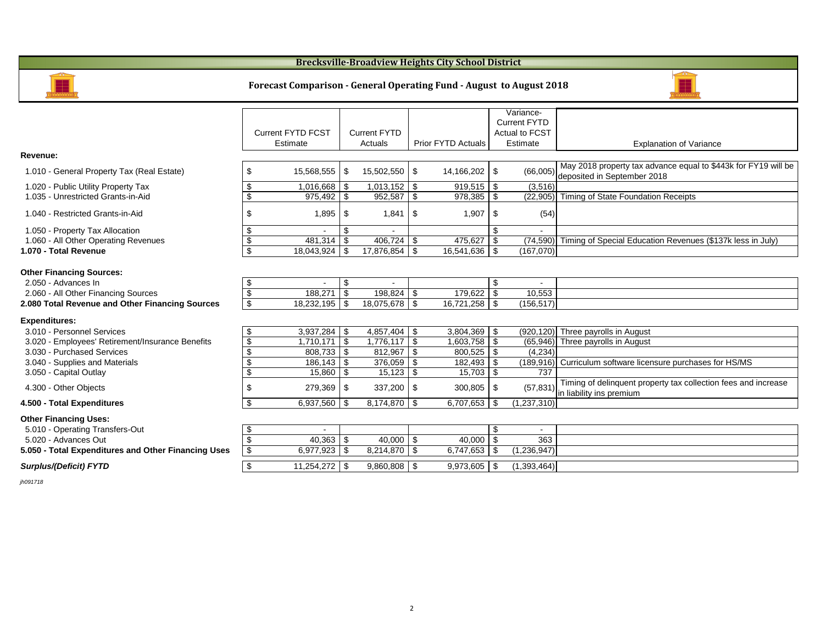|                                                        |                            |                          |                            |                     |                            |                           |                            | Variance-             |                                                      |
|--------------------------------------------------------|----------------------------|--------------------------|----------------------------|---------------------|----------------------------|---------------------------|----------------------------|-----------------------|------------------------------------------------------|
|                                                        |                            |                          |                            |                     |                            |                           |                            | <b>Current FYTD</b>   |                                                      |
|                                                        |                            | <b>Current FYTD FCST</b> |                            | <b>Current FYTD</b> |                            |                           |                            | <b>Actual to FCST</b> |                                                      |
|                                                        |                            | <b>Estimate</b>          |                            | Actuals             |                            | <b>Prior FYTD Actuals</b> |                            | Estimate              | Expla                                                |
| <b>Revenue:</b>                                        |                            |                          |                            |                     |                            |                           |                            |                       |                                                      |
| 1.010 - General Property Tax (Real Estate)             | \$                         | 15,568,555               | \$                         | 15,502,550          | $\boldsymbol{\mathsf{\$}}$ | 14,166,202                | \$                         | (66,005)              | May 2018 property tax ao<br>deposited in September 2 |
| 1.020 - Public Utility Property Tax                    | \$                         | 1,016,668                | \$                         | 1,013,152           | $\mathfrak{P}$             | 919,515                   | \$                         | (3,516)               |                                                      |
| 1.035 - Unrestricted Grants-in-Aid                     | \$                         | 975,492                  | \$                         | 952,587             | $\frac{1}{2}$              | 978,385                   | \$                         | (22, 905)             | <b>Timing of State Foundati</b>                      |
| 1.040 - Restricted Grants-in-Aid                       | \$                         | 1,895                    | \$                         | 1,841               | $\boldsymbol{\mathsf{\$}}$ | 1,907                     | \$                         | (54)                  |                                                      |
| 1.050 - Property Tax Allocation                        | \$                         |                          | \$                         |                     |                            |                           | \$                         |                       |                                                      |
| 1.060 - All Other Operating Revenues                   | $\boldsymbol{\theta}$      | 481,314                  | \$                         | 406,724             | \$                         | 475,627                   | $\boldsymbol{\mathcal{F}}$ | (74, 590)             | <b>Timing of Special Educat</b>                      |
| 1.070 - Total Revenue                                  | $\boldsymbol{\theta}$      | 18,043,924               | \$                         | 17,876,854          | $\mathfrak{P}$             | 16,541,636                | \$                         | (167,070)             |                                                      |
| <b>Other Financing Sources:</b><br>2.050 - Advances In | \$                         | $\overline{\phantom{a}}$ | \$                         | $\blacksquare$      |                            |                           | \$                         |                       |                                                      |
| 2.060 - All Other Financing Sources                    | $\boldsymbol{\mathsf{\$}}$ | 188,271                  | $\boldsymbol{\mathcal{S}}$ | 198,824             | $\boldsymbol{\mathsf{\$}}$ | 179,622                   | $\boldsymbol{\mathsf{\$}}$ | 10,553                |                                                      |
| 2.080 Total Revenue and Other Financing Sources        | $\overline{\mathbf{e}}$    | 18,232,195               | \$                         | 18,075,678          | $\boldsymbol{\mathsf{S}}$  | 16,721,258                | \$                         | (156, 517)            |                                                      |
| <b>Expenditures:</b>                                   |                            |                          |                            |                     |                            |                           |                            |                       |                                                      |
| 3.010 - Personnel Services                             | \$                         | 3,937,284                | $\mathfrak{F}$             | 4,857,404           | $\boldsymbol{\mathsf{\$}}$ | 3,804,369                 | \$                         | (920, 120)            | Three payrolls in August                             |
| 3.020 - Employees' Retirement/Insurance Benefits       | $\boldsymbol{\theta}$      | 1,710,171                | $\boldsymbol{\mathsf{\$}}$ | 1,776,117           | $\boldsymbol{\mathsf{\$}}$ | 1,603,758                 | \$                         | (65, 946)             | Three payrolls in August                             |
| 3.030 - Purchased Services                             | \$                         | 808,733                  | \$                         | 812,967             | $\boldsymbol{\mathsf{S}}$  | 800,525                   | \$                         | (4,234)               |                                                      |
| 3.040 - Supplies and Materials                         | \$                         | 186,143                  | \$                         | 376,059             | $\boldsymbol{\mathsf{\$}}$ | 182,493                   | $\mathfrak{F}$             | (189,916)             | Curriculum software licer                            |
| 3.050 - Capital Outlay                                 | \$                         | 15,860                   | \$                         | 15,123              | $\$\$                      | 15,703                    | $\mathfrak{F}$             | 737                   |                                                      |
| 4.300 - Other Objects                                  | \$                         | 279,369                  | \$                         | 337,200             | $\boldsymbol{\mathsf{\$}}$ | 300,805                   | \$                         |                       | Timing of delinquent prop                            |
|                                                        | $\boldsymbol{\mathsf{\$}}$ |                          |                            | 8,174,870           |                            | 6,707,653                 |                            |                       | $(57,831)$ in liability ins premium                  |
| 4.500 - Total Expenditures                             |                            | 6,937,560                | \$                         |                     | $\boldsymbol{\mathsf{S}}$  |                           | \$                         | (1, 237, 310)         |                                                      |
| <b>Other Financing Uses:</b>                           |                            |                          |                            |                     |                            |                           |                            |                       |                                                      |
| 5.010 - Operating Transfers-Out                        | \$                         |                          |                            |                     |                            |                           | $\boldsymbol{\mathsf{\$}}$ |                       |                                                      |
| 5.020 - Advances Out                                   | $\boldsymbol{\$}$          | 40,363                   |                            | 40,000              | $\boldsymbol{\mathsf{\$}}$ | 40,000                    | \$                         | 363                   |                                                      |
| 5.050 - Total Expenditures and Other Financing Uses    | $\frac{1}{2}$              | 6,977,923                | $\mathfrak{F}$             | 8,214,870           | $\sqrt[6]{3}$              | 6,747,653                 | \$                         | (1,236,947)           |                                                      |
| <b>Surplus/(Deficit) FYTD</b>                          | $\boldsymbol{\mathsf{\$}}$ | 11,254,272               | \$                         | $9,860,808$   \$    |                            | $9,973,605$ \ \ \$        |                            | (1,393,464)           |                                                      |
| jh091718                                               |                            |                          |                            |                     |                            |                           |                            |                       |                                                      |

### **Brecksville-Broadview Heights City School District**



#### **Forecast Comparison - General Operating Fund - August to August 2018**



#### Explanation of Variance

ty tax advance equal to \$443k for FY19 will be  $\frac{3}{2}$ ember 2018

Foundation Receipts

### 1.060 Education Revenues (\$137k less in July)

are licensure purchases for HS/MS

ent property tax collection fees and increase in liability in the premium of the premium of the premium of the premium of the premium of the premium of the <br>Institution of the premium of the premium of the premium of the premium of the premium of the premium of the p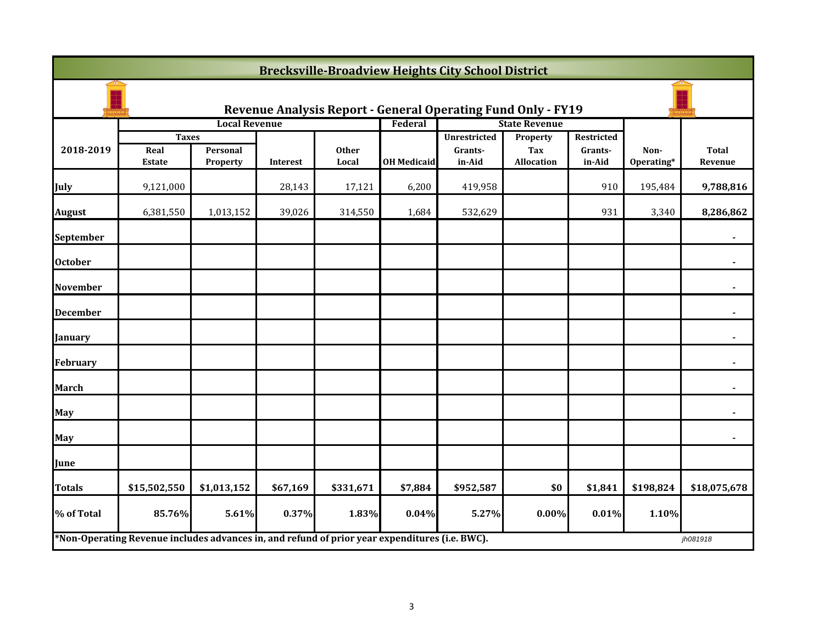| <b>Brecksville-Broadview Heights City School District</b> |                                                                                                |                             |          |                       |                    |                                          |                                      |                                 |                    |                         |  |
|-----------------------------------------------------------|------------------------------------------------------------------------------------------------|-----------------------------|----------|-----------------------|--------------------|------------------------------------------|--------------------------------------|---------------------------------|--------------------|-------------------------|--|
|                                                           | <b>Revenue Analysis Report - General Operating Fund Only - FY19</b>                            |                             |          |                       |                    |                                          |                                      |                                 |                    |                         |  |
|                                                           |                                                                                                | <b>Local Revenue</b>        |          |                       | Federal            |                                          | <b>State Revenue</b>                 |                                 |                    |                         |  |
| 2018-2019                                                 | <b>Taxes</b><br>Real<br><b>Estate</b>                                                          | Personal<br><b>Property</b> | Interest | <b>Other</b><br>Local | <b>OH Medicaid</b> | <b>Unrestricted</b><br>Grants-<br>in-Aid | <b>Property</b><br>Tax<br>Allocation | Restricted<br>Grants-<br>in-Aid | Non-<br>Operating* | <b>Total</b><br>Revenue |  |
| July                                                      | 9,121,000                                                                                      |                             | 28,143   | 17,121                | 6,200              | 419,958                                  |                                      | 910                             | 195,484            | 9,788,816               |  |
| <b>August</b>                                             | 6,381,550                                                                                      | 1,013,152                   | 39,026   | 314,550               | 1,684              | 532,629                                  |                                      | 931                             | 3,340              | 8,286,862               |  |
| <b>September</b>                                          |                                                                                                |                             |          |                       |                    |                                          |                                      |                                 |                    |                         |  |
| <b>October</b>                                            |                                                                                                |                             |          |                       |                    |                                          |                                      |                                 |                    |                         |  |
| <b>November</b>                                           |                                                                                                |                             |          |                       |                    |                                          |                                      |                                 |                    |                         |  |
| <b>December</b>                                           |                                                                                                |                             |          |                       |                    |                                          |                                      |                                 |                    |                         |  |
| <b>January</b>                                            |                                                                                                |                             |          |                       |                    |                                          |                                      |                                 |                    |                         |  |
| <b>February</b>                                           |                                                                                                |                             |          |                       |                    |                                          |                                      |                                 |                    |                         |  |
| <b>March</b>                                              |                                                                                                |                             |          |                       |                    |                                          |                                      |                                 |                    |                         |  |
| <b>May</b>                                                |                                                                                                |                             |          |                       |                    |                                          |                                      |                                 |                    |                         |  |
| <b>May</b>                                                |                                                                                                |                             |          |                       |                    |                                          |                                      |                                 |                    |                         |  |
| June                                                      |                                                                                                |                             |          |                       |                    |                                          |                                      |                                 |                    |                         |  |
| <b>Totals</b>                                             | \$15,502,550                                                                                   | \$1,013,152                 | \$67,169 | \$331,671             | \$7,884            | \$952,587                                | \$0                                  | \$1,841                         | \$198,824          | \$18,075,678            |  |
| % of Total                                                | 85.76%                                                                                         | 5.61%                       | 0.37%    | 1.83%                 | 0.04%              | 5.27%                                    | $0.00\%$                             | 0.01%                           | 1.10%              |                         |  |
|                                                           | *Non-Operating Revenue includes advances in, and refund of prior year expenditures (i.e. BWC). |                             |          |                       |                    |                                          |                                      |                                 |                    | jh081918                |  |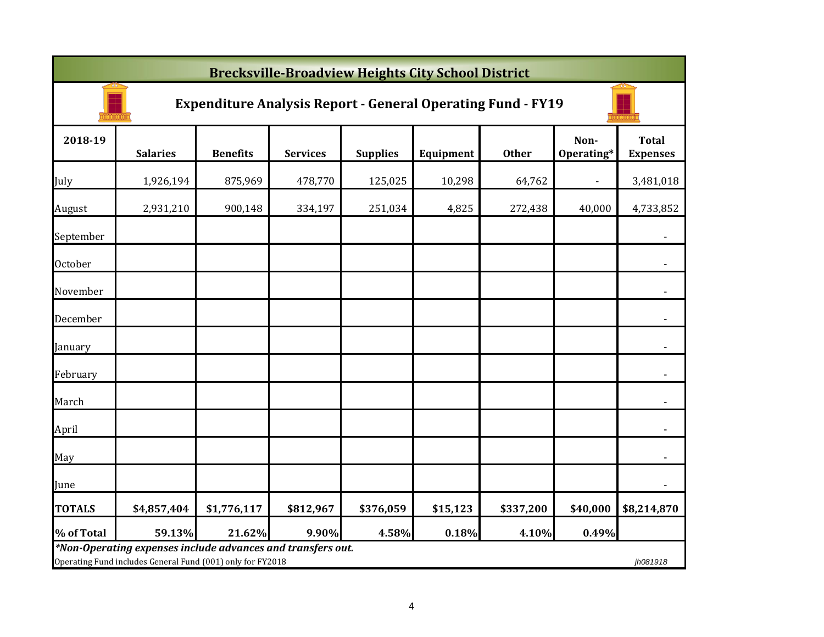|               | <b>Brecksville-Broadview Heights City School District</b>                                                                 |                 |                 |                 |           |              |                    |                                 |  |  |  |
|---------------|---------------------------------------------------------------------------------------------------------------------------|-----------------|-----------------|-----------------|-----------|--------------|--------------------|---------------------------------|--|--|--|
|               | <b>Expenditure Analysis Report - General Operating Fund - FY19</b>                                                        |                 |                 |                 |           |              |                    |                                 |  |  |  |
| 2018-19       | <b>Salaries</b>                                                                                                           | <b>Benefits</b> | <b>Services</b> | <b>Supplies</b> | Equipment | <b>Other</b> | Non-<br>Operating* | <b>Total</b><br><b>Expenses</b> |  |  |  |
| July          | 1,926,194                                                                                                                 | 875,969         | 478,770         | 125,025         | 10,298    | 64,762       | $\blacksquare$     | 3,481,018                       |  |  |  |
| August        | 2,931,210                                                                                                                 | 900,148         | 334,197         | 251,034         | 4,825     | 272,438      | 40,000             | 4,733,852                       |  |  |  |
| September     |                                                                                                                           |                 |                 |                 |           |              |                    | $\blacksquare$                  |  |  |  |
| October       |                                                                                                                           |                 |                 |                 |           |              |                    |                                 |  |  |  |
| November      |                                                                                                                           |                 |                 |                 |           |              |                    | $\blacksquare$                  |  |  |  |
| December      |                                                                                                                           |                 |                 |                 |           |              |                    | $\blacksquare$                  |  |  |  |
| January       |                                                                                                                           |                 |                 |                 |           |              |                    | $\blacksquare$                  |  |  |  |
| February      |                                                                                                                           |                 |                 |                 |           |              |                    | $\blacksquare$                  |  |  |  |
| March         |                                                                                                                           |                 |                 |                 |           |              |                    |                                 |  |  |  |
| April         |                                                                                                                           |                 |                 |                 |           |              |                    |                                 |  |  |  |
| May           |                                                                                                                           |                 |                 |                 |           |              |                    |                                 |  |  |  |
| June          |                                                                                                                           |                 |                 |                 |           |              |                    | ٠                               |  |  |  |
| <b>TOTALS</b> | \$4,857,404                                                                                                               | \$1,776,117     | \$812,967       | \$376,059       | \$15,123  | \$337,200    | \$40,000           | \$8,214,870                     |  |  |  |
| % of Total    | 59.13%                                                                                                                    | 21.62%          | 9.90%           | 4.58%           | 0.18%     | 4.10%        | 0.49%              |                                 |  |  |  |
|               | *Non-Operating expenses include advances and transfers out.<br>Operating Fund includes General Fund (001) only for FY2018 |                 |                 |                 |           |              |                    | jh081918                        |  |  |  |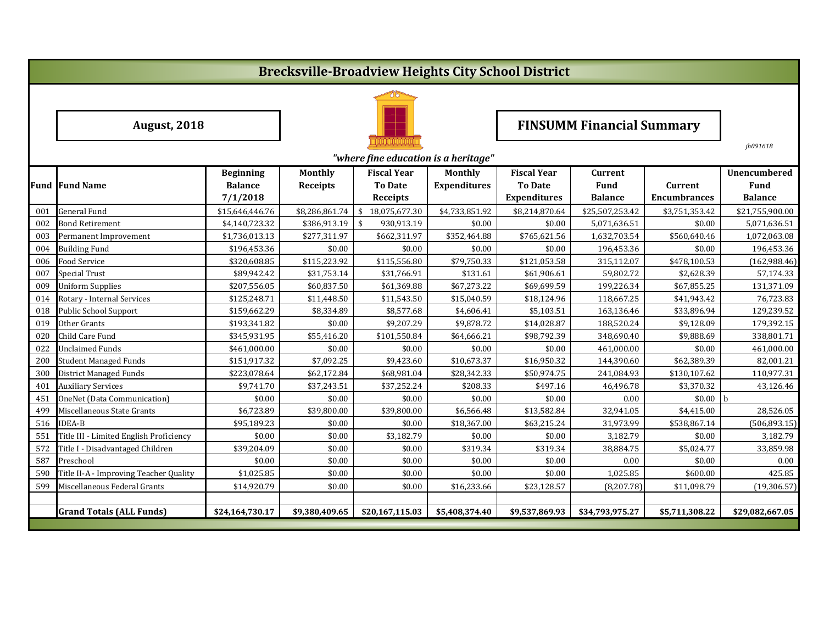# **Brecksville-Broadview Heights City School District**



August, 2018 **FINSUMM** Financial Summary

*jh091618*

|     | "where fine education is a heritage"    |                  |                 |                     |                     |                     |                 |                     |                     |  |  |
|-----|-----------------------------------------|------------------|-----------------|---------------------|---------------------|---------------------|-----------------|---------------------|---------------------|--|--|
|     |                                         | <b>Beginning</b> | <b>Monthly</b>  | <b>Fiscal Year</b>  | <b>Monthly</b>      | <b>Fiscal Year</b>  | <b>Current</b>  |                     | <b>Unencumbered</b> |  |  |
|     | <b>Fund Fund Name</b>                   | <b>Balance</b>   | <b>Receipts</b> | <b>To Date</b>      | <b>Expenditures</b> | <b>To Date</b>      | <b>Fund</b>     | <b>Current</b>      | Fund                |  |  |
|     |                                         | 7/1/2018         |                 | <b>Receipts</b>     |                     | <b>Expenditures</b> | <b>Balance</b>  | <b>Encumbrances</b> | <b>Balance</b>      |  |  |
| 001 | <b>General Fund</b>                     | \$15,646,446.76  | \$8,286,861.74  | \$<br>18,075,677.30 | \$4,733,851.92      | \$8,214,870.64      | \$25,507,253.42 | \$3,751,353.42      | \$21,755,900.00     |  |  |
| 002 | <b>Bond Retirement</b>                  | \$4,140,723.32   | \$386,913.19    | \$<br>930,913.19    | \$0.00              | \$0.00              | 5,071,636.51    | \$0.00              | 5,071,636.51        |  |  |
| 003 | Permanent Improvement                   | \$1,736,013.13   | \$277,311.97    | \$662,311.97        | \$352,464.88        | \$765,621.56        | 1,632,703.54    | \$560,640.46        | 1,072,063.08        |  |  |
| 004 | <b>Building Fund</b>                    | \$196,453.36     | \$0.00          | \$0.00              | \$0.00              | \$0.00              | 196,453.36      | \$0.00              | 196,453.36          |  |  |
| 006 | Food Service                            | \$320,608.85     | \$115,223.92    | \$115,556.80        | \$79,750.33         | \$121,053.58        | 315,112.07      | \$478,100.53        | (162,988.46)        |  |  |
| 007 | <b>Special Trust</b>                    | \$89,942.42      | \$31,753.14     | \$31,766.91         | \$131.61            | \$61,906.61         | 59,802.72       | \$2,628.39          | 57,174.33           |  |  |
| 009 | <b>Uniform Supplies</b>                 | \$207,556.05     | \$60,837.50     | \$61,369.88         | \$67,273.22         | \$69,699.59         | 199,226.34      | \$67,855.25         | 131,371.09          |  |  |
| 014 | Rotary - Internal Services              | \$125,248.71     | \$11,448.50     | \$11,543.50         | \$15,040.59         | \$18,124.96         | 118,667.25      | \$41,943.42         | 76,723.83           |  |  |
| 018 | Public School Support                   | \$159,662.29     | \$8,334.89      | \$8,577.68          | \$4,606.41          | \$5,103.51          | 163,136.46      | \$33,896.94         | 129,239.52          |  |  |
| 019 | Other Grants                            | \$193,341.82     | \$0.00          | \$9,207.29          | \$9,878.72          | \$14,028.87         | 188,520.24      | \$9,128.09          | 179,392.15          |  |  |
| 020 | Child Care Fund                         | \$345,931.95     | \$55,416.20     | \$101,550.84        | \$64,666.21         | \$98,792.39         | 348,690.40      | \$9,888.69          | 338,801.71          |  |  |
| 022 | <b>Unclaimed Funds</b>                  | \$461,000.00     | \$0.00          | \$0.00              | \$0.00              | \$0.00              | 461,000.00      | \$0.00              | 461,000.00          |  |  |
| 200 | <b>Student Managed Funds</b>            | \$151,917.32     | \$7,092.25      | \$9,423.60          | \$10,673.37         | \$16,950.32         | 144,390.60      | \$62,389.39         | 82,001.21           |  |  |
| 300 | <b>District Managed Funds</b>           | \$223,078.64     | \$62,172.84     | \$68,981.04         | \$28,342.33         | \$50,974.75         | 241,084.93      | \$130,107.62        | 110,977.31          |  |  |
| 401 | <b>Auxiliary Services</b>               | \$9,741.70       | \$37,243.51     | \$37,252.24         | \$208.33            | \$497.16            | 46,496.78       | \$3,370.32          | 43,126.46           |  |  |
| 451 | OneNet (Data Communication)             | \$0.00           | \$0.00          | \$0.00              | \$0.00              | \$0.00              | 0.00            | \$0.00              | b                   |  |  |
| 499 | Miscellaneous State Grants              | \$6,723.89       | \$39,800.00     | \$39,800.00         | \$6,566.48          | \$13,582.84         | 32,941.05       | \$4,415.00          | 28,526.05           |  |  |
| 516 | <b>IDEA-B</b>                           | \$95,189.23      | \$0.00          | \$0.00              | \$18,367.00         | \$63,215.24         | 31,973.99       | \$538,867.14        | (506, 893.15)       |  |  |
| 551 | Title III - Limited English Proficiency | \$0.00           | \$0.00          | \$3,182.79          | \$0.00              | \$0.00              | 3,182.79        | \$0.00              | 3,182.79            |  |  |
| 572 | Title I - Disadvantaged Children        | \$39,204.09      | \$0.00          | \$0.00              | \$319.34            | \$319.34            | 38,884.75       | \$5,024.77          | 33,859.98           |  |  |
| 587 | Preschool                               | \$0.00           | \$0.00          | \$0.00              | \$0.00              | \$0.00              | 0.00            | \$0.00              | 0.00                |  |  |
| 590 | Title II-A - Improving Teacher Quality  | \$1,025.85       | \$0.00          | \$0.00              | \$0.00              | \$0.00              | 1,025.85        | \$600.00            | 425.85              |  |  |
| 599 | Miscellaneous Federal Grants            | \$14,920.79      | \$0.00          | \$0.00              | \$16,233.66         | \$23,128.57         | (8, 207.78)     | \$11,098.79         | (19, 306.57)        |  |  |
|     |                                         |                  |                 |                     |                     |                     |                 |                     |                     |  |  |
|     | <b>Grand Totals (ALL Funds)</b>         | \$24,164,730.17  | \$9,380,409.65  | \$20,167,115.03     | \$5,408,374.40      | \$9,537,869.93      | \$34,793,975.27 | \$5,711,308.22      | \$29,082,667.05     |  |  |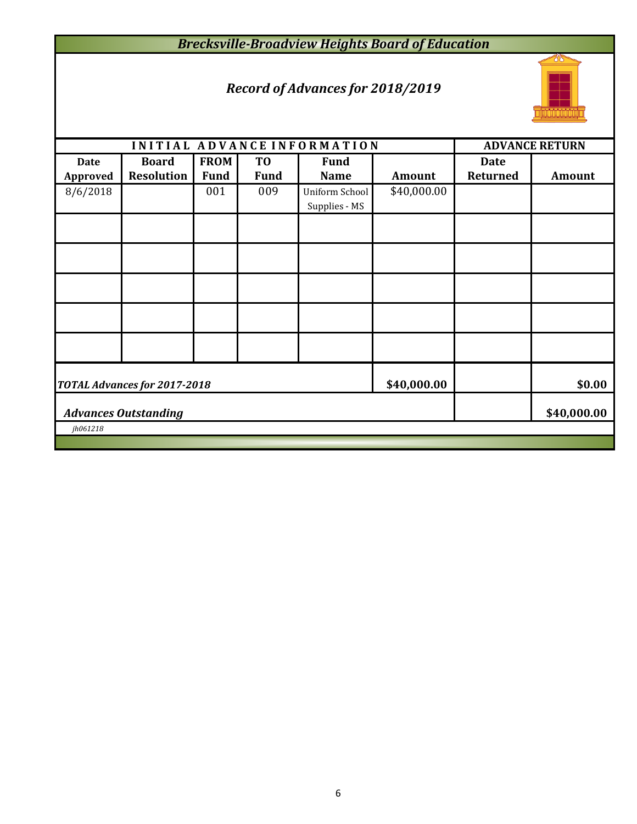## *Brecksville-Broadview Heights Board of Education*

## *Record of Advances for 2018/2019*



|                 |                                     |             |                | INITIAL ADVANCE INFORMATION |               | <b>ADVANCE RETURN</b> |               |  |  |  |
|-----------------|-------------------------------------|-------------|----------------|-----------------------------|---------------|-----------------------|---------------|--|--|--|
| <b>Date</b>     | <b>Board</b>                        | <b>FROM</b> | T <sub>0</sub> | <b>Fund</b>                 |               | <b>Date</b>           |               |  |  |  |
| <b>Approved</b> | <b>Resolution</b>                   | <b>Fund</b> | <b>Fund</b>    | <b>Name</b>                 | <b>Amount</b> | <b>Returned</b>       | <b>Amount</b> |  |  |  |
| 8/6/2018        |                                     | 001         | 009            | Uniform School              | \$40,000.00   |                       |               |  |  |  |
|                 |                                     |             |                | Supplies - MS               |               |                       |               |  |  |  |
|                 |                                     |             |                |                             |               |                       |               |  |  |  |
|                 |                                     |             |                |                             |               |                       |               |  |  |  |
|                 |                                     |             |                |                             |               |                       |               |  |  |  |
|                 |                                     |             |                |                             |               |                       |               |  |  |  |
|                 |                                     |             |                |                             |               |                       |               |  |  |  |
|                 | <b>TOTAL Advances for 2017-2018</b> | \$40,000.00 |                | \$0.00                      |               |                       |               |  |  |  |
|                 | <b>Advances Outstanding</b>         |             |                | \$40,000.00                 |               |                       |               |  |  |  |
| jh061218        |                                     |             |                |                             |               |                       |               |  |  |  |
|                 |                                     |             |                |                             |               |                       |               |  |  |  |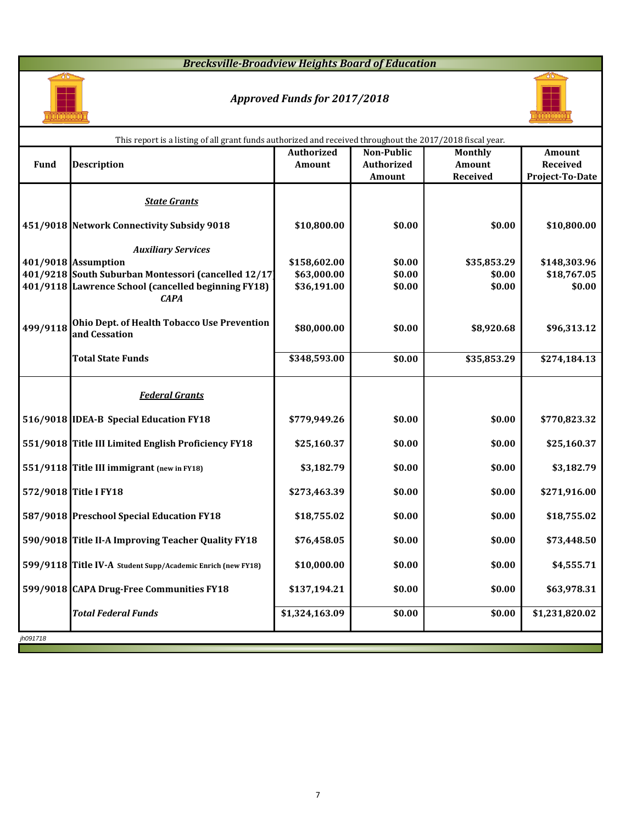## *Brecksville-Broadview Heights Board of Education*



# *Approved Funds for 2017/2018*



| <b>Non-Public</b><br><b>Authorized</b><br><b>Monthly</b><br><b>Amount</b><br><b>Fund</b><br><b>Authorized</b><br><b>Amount</b><br><b>Description</b><br><b>Received</b><br><b>Amount</b><br><b>Received</b><br>Project-To-Date<br>Amount<br><b>State Grants</b><br>451/9018 Network Connectivity Subsidy 9018<br>\$0.00<br>\$0.00<br>\$10,800.00<br>\$10,800.00<br><b>Auxiliary Services</b><br>\$158,602.00<br>\$35,853.29<br>401/9018 Assumption<br>\$0.00<br>\$148,303.96<br>401/9218 South Suburban Montessori (cancelled 12/17)<br>\$63,000.00<br>\$0.00<br>\$18,767.05<br>\$0.00<br>401/9118 Lawrence School (cancelled beginning FY18)<br>\$0.00<br>\$0.00<br>\$36,191.00<br>\$0.00<br><b>CAPA</b><br><b>Ohio Dept. of Health Tobacco Use Prevention</b><br>\$80,000.00<br>\$0.00<br>\$8,920.68<br>\$96,313.12<br>and Cessation<br><b>Total State Funds</b><br>\$348,593.00<br>\$0.00<br>\$35,853.29<br>\$274,184.13<br><b>Federal Grants</b><br>516/9018 IDEA-B Special Education FY18<br>\$0.00<br>\$779,949.26<br>\$0.00<br>\$770,823.32<br>551/9018 Title III Limited English Proficiency FY18<br>\$25,160.37<br>\$0.00<br>\$0.00<br>\$25,160.37<br>551/9118 Title III immigrant (new in FY18)<br>\$3,182.79<br>\$3,182.79<br>\$0.00<br>\$0.00<br>572/9018 Title I FY18<br>\$0.00<br>\$0.00<br>\$273,463.39<br>\$271,916.00<br>587/9018 Preschool Special Education FY18<br>\$18,755.02<br>\$0.00<br>\$0.00<br>\$18,755.02<br>590/9018 Title II-A Improving Teacher Quality FY18<br>\$76,458.05<br>\$0.00<br>\$0.00<br>\$73,448.50<br>\$4,555.71<br>599/9118 Title IV-A Student Supp/Academic Enrich (new FY18)<br>\$10,000.00<br>\$0.00<br>\$0.00<br>599/9018 CAPA Drug-Free Communities FY18<br>\$137,194.21<br>\$0.00<br>\$0.00<br>\$63,978.31<br><b>Total Federal Funds</b><br>\$1,324,163.09<br>\$1,231,820.02<br>\$0.00<br>\$0.00 |          | This report is a listing of all grant funds authorized and received throughout the 2017/2018 fiscal year. |  |  |  |  |  |  |  |  |
|----------------------------------------------------------------------------------------------------------------------------------------------------------------------------------------------------------------------------------------------------------------------------------------------------------------------------------------------------------------------------------------------------------------------------------------------------------------------------------------------------------------------------------------------------------------------------------------------------------------------------------------------------------------------------------------------------------------------------------------------------------------------------------------------------------------------------------------------------------------------------------------------------------------------------------------------------------------------------------------------------------------------------------------------------------------------------------------------------------------------------------------------------------------------------------------------------------------------------------------------------------------------------------------------------------------------------------------------------------------------------------------------------------------------------------------------------------------------------------------------------------------------------------------------------------------------------------------------------------------------------------------------------------------------------------------------------------------------------------------------------------------------------------------------------------------------------------------------------|----------|-----------------------------------------------------------------------------------------------------------|--|--|--|--|--|--|--|--|
|                                                                                                                                                                                                                                                                                                                                                                                                                                                                                                                                                                                                                                                                                                                                                                                                                                                                                                                                                                                                                                                                                                                                                                                                                                                                                                                                                                                                                                                                                                                                                                                                                                                                                                                                                                                                                                                    |          |                                                                                                           |  |  |  |  |  |  |  |  |
|                                                                                                                                                                                                                                                                                                                                                                                                                                                                                                                                                                                                                                                                                                                                                                                                                                                                                                                                                                                                                                                                                                                                                                                                                                                                                                                                                                                                                                                                                                                                                                                                                                                                                                                                                                                                                                                    |          |                                                                                                           |  |  |  |  |  |  |  |  |
|                                                                                                                                                                                                                                                                                                                                                                                                                                                                                                                                                                                                                                                                                                                                                                                                                                                                                                                                                                                                                                                                                                                                                                                                                                                                                                                                                                                                                                                                                                                                                                                                                                                                                                                                                                                                                                                    |          |                                                                                                           |  |  |  |  |  |  |  |  |
|                                                                                                                                                                                                                                                                                                                                                                                                                                                                                                                                                                                                                                                                                                                                                                                                                                                                                                                                                                                                                                                                                                                                                                                                                                                                                                                                                                                                                                                                                                                                                                                                                                                                                                                                                                                                                                                    |          |                                                                                                           |  |  |  |  |  |  |  |  |
|                                                                                                                                                                                                                                                                                                                                                                                                                                                                                                                                                                                                                                                                                                                                                                                                                                                                                                                                                                                                                                                                                                                                                                                                                                                                                                                                                                                                                                                                                                                                                                                                                                                                                                                                                                                                                                                    |          |                                                                                                           |  |  |  |  |  |  |  |  |
|                                                                                                                                                                                                                                                                                                                                                                                                                                                                                                                                                                                                                                                                                                                                                                                                                                                                                                                                                                                                                                                                                                                                                                                                                                                                                                                                                                                                                                                                                                                                                                                                                                                                                                                                                                                                                                                    |          |                                                                                                           |  |  |  |  |  |  |  |  |
|                                                                                                                                                                                                                                                                                                                                                                                                                                                                                                                                                                                                                                                                                                                                                                                                                                                                                                                                                                                                                                                                                                                                                                                                                                                                                                                                                                                                                                                                                                                                                                                                                                                                                                                                                                                                                                                    |          |                                                                                                           |  |  |  |  |  |  |  |  |
|                                                                                                                                                                                                                                                                                                                                                                                                                                                                                                                                                                                                                                                                                                                                                                                                                                                                                                                                                                                                                                                                                                                                                                                                                                                                                                                                                                                                                                                                                                                                                                                                                                                                                                                                                                                                                                                    |          |                                                                                                           |  |  |  |  |  |  |  |  |
|                                                                                                                                                                                                                                                                                                                                                                                                                                                                                                                                                                                                                                                                                                                                                                                                                                                                                                                                                                                                                                                                                                                                                                                                                                                                                                                                                                                                                                                                                                                                                                                                                                                                                                                                                                                                                                                    |          |                                                                                                           |  |  |  |  |  |  |  |  |
|                                                                                                                                                                                                                                                                                                                                                                                                                                                                                                                                                                                                                                                                                                                                                                                                                                                                                                                                                                                                                                                                                                                                                                                                                                                                                                                                                                                                                                                                                                                                                                                                                                                                                                                                                                                                                                                    | 499/9118 |                                                                                                           |  |  |  |  |  |  |  |  |
|                                                                                                                                                                                                                                                                                                                                                                                                                                                                                                                                                                                                                                                                                                                                                                                                                                                                                                                                                                                                                                                                                                                                                                                                                                                                                                                                                                                                                                                                                                                                                                                                                                                                                                                                                                                                                                                    |          |                                                                                                           |  |  |  |  |  |  |  |  |
|                                                                                                                                                                                                                                                                                                                                                                                                                                                                                                                                                                                                                                                                                                                                                                                                                                                                                                                                                                                                                                                                                                                                                                                                                                                                                                                                                                                                                                                                                                                                                                                                                                                                                                                                                                                                                                                    |          |                                                                                                           |  |  |  |  |  |  |  |  |
|                                                                                                                                                                                                                                                                                                                                                                                                                                                                                                                                                                                                                                                                                                                                                                                                                                                                                                                                                                                                                                                                                                                                                                                                                                                                                                                                                                                                                                                                                                                                                                                                                                                                                                                                                                                                                                                    |          |                                                                                                           |  |  |  |  |  |  |  |  |
|                                                                                                                                                                                                                                                                                                                                                                                                                                                                                                                                                                                                                                                                                                                                                                                                                                                                                                                                                                                                                                                                                                                                                                                                                                                                                                                                                                                                                                                                                                                                                                                                                                                                                                                                                                                                                                                    |          |                                                                                                           |  |  |  |  |  |  |  |  |
|                                                                                                                                                                                                                                                                                                                                                                                                                                                                                                                                                                                                                                                                                                                                                                                                                                                                                                                                                                                                                                                                                                                                                                                                                                                                                                                                                                                                                                                                                                                                                                                                                                                                                                                                                                                                                                                    |          |                                                                                                           |  |  |  |  |  |  |  |  |
|                                                                                                                                                                                                                                                                                                                                                                                                                                                                                                                                                                                                                                                                                                                                                                                                                                                                                                                                                                                                                                                                                                                                                                                                                                                                                                                                                                                                                                                                                                                                                                                                                                                                                                                                                                                                                                                    |          |                                                                                                           |  |  |  |  |  |  |  |  |
|                                                                                                                                                                                                                                                                                                                                                                                                                                                                                                                                                                                                                                                                                                                                                                                                                                                                                                                                                                                                                                                                                                                                                                                                                                                                                                                                                                                                                                                                                                                                                                                                                                                                                                                                                                                                                                                    |          |                                                                                                           |  |  |  |  |  |  |  |  |
|                                                                                                                                                                                                                                                                                                                                                                                                                                                                                                                                                                                                                                                                                                                                                                                                                                                                                                                                                                                                                                                                                                                                                                                                                                                                                                                                                                                                                                                                                                                                                                                                                                                                                                                                                                                                                                                    |          |                                                                                                           |  |  |  |  |  |  |  |  |
|                                                                                                                                                                                                                                                                                                                                                                                                                                                                                                                                                                                                                                                                                                                                                                                                                                                                                                                                                                                                                                                                                                                                                                                                                                                                                                                                                                                                                                                                                                                                                                                                                                                                                                                                                                                                                                                    |          |                                                                                                           |  |  |  |  |  |  |  |  |
|                                                                                                                                                                                                                                                                                                                                                                                                                                                                                                                                                                                                                                                                                                                                                                                                                                                                                                                                                                                                                                                                                                                                                                                                                                                                                                                                                                                                                                                                                                                                                                                                                                                                                                                                                                                                                                                    |          |                                                                                                           |  |  |  |  |  |  |  |  |
|                                                                                                                                                                                                                                                                                                                                                                                                                                                                                                                                                                                                                                                                                                                                                                                                                                                                                                                                                                                                                                                                                                                                                                                                                                                                                                                                                                                                                                                                                                                                                                                                                                                                                                                                                                                                                                                    |          |                                                                                                           |  |  |  |  |  |  |  |  |
|                                                                                                                                                                                                                                                                                                                                                                                                                                                                                                                                                                                                                                                                                                                                                                                                                                                                                                                                                                                                                                                                                                                                                                                                                                                                                                                                                                                                                                                                                                                                                                                                                                                                                                                                                                                                                                                    | jh091718 |                                                                                                           |  |  |  |  |  |  |  |  |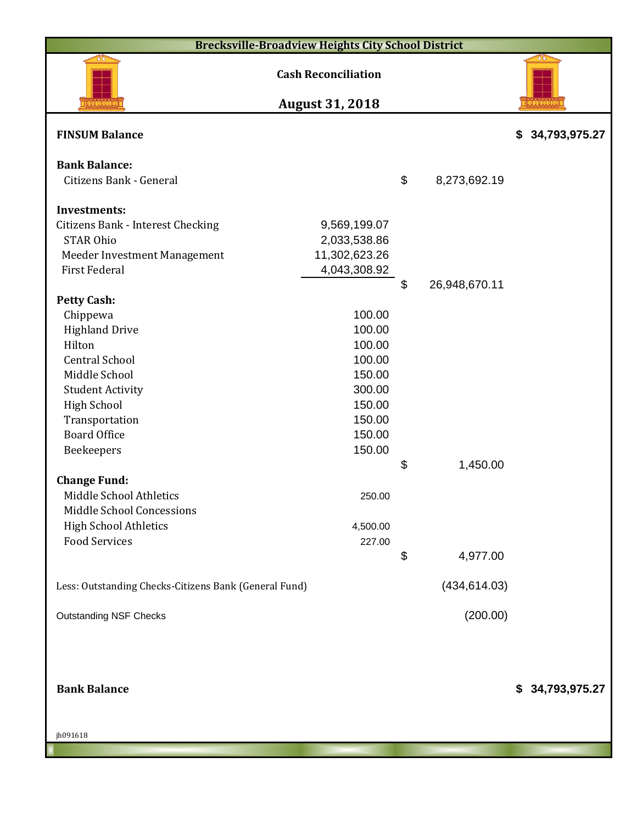| <b>Brecksville-Broadview Heights City School District</b>                                                                                                                                                           |                                                                                                  |                           |                      |                  |
|---------------------------------------------------------------------------------------------------------------------------------------------------------------------------------------------------------------------|--------------------------------------------------------------------------------------------------|---------------------------|----------------------|------------------|
|                                                                                                                                                                                                                     | <b>Cash Reconciliation</b>                                                                       |                           |                      |                  |
|                                                                                                                                                                                                                     | <b>August 31, 2018</b>                                                                           |                           |                      |                  |
| <b>FINSUM Balance</b>                                                                                                                                                                                               |                                                                                                  |                           |                      | \$ 34,793,975.27 |
| <b>Bank Balance:</b><br>Citizens Bank - General                                                                                                                                                                     |                                                                                                  | $\boldsymbol{\mathsf{S}}$ | 8,273,692.19         |                  |
| <b>Investments:</b><br><b>Citizens Bank - Interest Checking</b><br><b>STAR Ohio</b><br>Meeder Investment Management<br><b>First Federal</b>                                                                         | 9,569,199.07<br>2,033,538.86<br>11,302,623.26<br>4,043,308.92                                    | $\boldsymbol{\mathsf{S}}$ | 26,948,670.11        |                  |
| <b>Petty Cash:</b><br>Chippewa<br><b>Highland Drive</b><br>Hilton<br><b>Central School</b><br>Middle School<br><b>Student Activity</b><br><b>High School</b><br>Transportation<br><b>Board Office</b><br>Beekeepers | 100.00<br>100.00<br>100.00<br>100.00<br>150.00<br>300.00<br>150.00<br>150.00<br>150.00<br>150.00 |                           |                      |                  |
| <b>Change Fund:</b><br>Middle School Athletics<br><b>Middle School Concessions</b><br><b>High School Athletics</b><br><b>Food Services</b>                                                                          | 250.00<br>4,500.00<br>227.00                                                                     | \$<br>\$                  | 1,450.00<br>4,977.00 |                  |
| Less: Outstanding Checks-Citizens Bank (General Fund)                                                                                                                                                               |                                                                                                  |                           | (434, 614.03)        |                  |
| <b>Outstanding NSF Checks</b>                                                                                                                                                                                       |                                                                                                  |                           | (200.00)             |                  |
| <b>Bank Balance</b>                                                                                                                                                                                                 |                                                                                                  |                           |                      | \$ 34,793,975.27 |

jh091618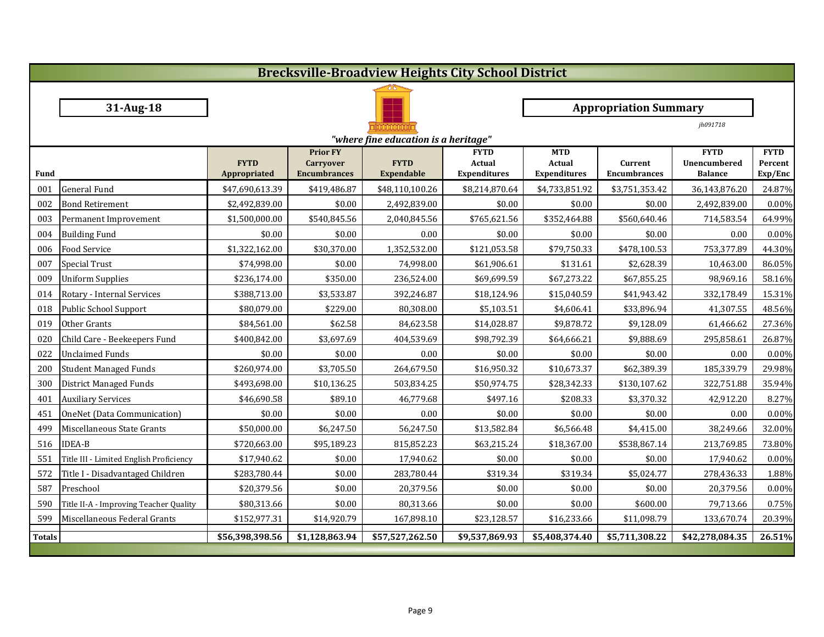|                                      | <b>Brecksville-Broadview Heights City School District</b> |                 |                                         |                              |                               |                                      |                                       |                             |                    |  |  |
|--------------------------------------|-----------------------------------------------------------|-----------------|-----------------------------------------|------------------------------|-------------------------------|--------------------------------------|---------------------------------------|-----------------------------|--------------------|--|--|
|                                      |                                                           |                 |                                         |                              |                               |                                      |                                       |                             |                    |  |  |
|                                      | 31-Aug-18                                                 |                 |                                         | <b>Appropriation Summary</b> |                               |                                      |                                       |                             |                    |  |  |
|                                      |                                                           |                 |                                         |                              |                               |                                      |                                       | jh091718                    |                    |  |  |
| "where fine education is a heritage" |                                                           |                 |                                         |                              |                               |                                      |                                       |                             |                    |  |  |
|                                      |                                                           | <b>FYTD</b>     | <b>Prior FY</b>                         | <b>FYTD</b>                  | <b>FYTD</b>                   | <b>MTD</b>                           |                                       | <b>FYTD</b><br>Unencumbered | <b>FYTD</b>        |  |  |
| <b>Fund</b>                          |                                                           | Appropriated    | <b>Carryover</b><br><b>Encumbrances</b> | <b>Expendable</b>            | Actual<br><b>Expenditures</b> | <b>Actual</b><br><b>Expenditures</b> | <b>Current</b><br><b>Encumbrances</b> | <b>Balance</b>              | Percent<br>Exp/Enc |  |  |
| 001                                  | General Fund                                              | \$47,690,613.39 | \$419,486.87                            | \$48,110,100.26              | \$8,214,870.64                | \$4,733,851.92                       | \$3,751,353.42                        | 36,143,876.20               | 24.87%             |  |  |
| 002                                  | <b>Bond Retirement</b>                                    | \$2,492,839.00  | \$0.00                                  | 2,492,839.00                 | \$0.00                        | \$0.00                               | \$0.00                                | 2,492,839.00                | 0.00%              |  |  |
| 003                                  | Permanent Improvement                                     | \$1,500,000.00  | \$540,845.56                            | 2,040,845.56                 | \$765,621.56                  | \$352,464.88                         | \$560,640.46                          | 714,583.54                  | 64.99%             |  |  |
| 004                                  | <b>Building Fund</b>                                      | \$0.00          | \$0.00                                  | 0.00                         | \$0.00                        | \$0.00                               | \$0.00                                | 0.00                        | 0.00%              |  |  |
| 006                                  | <b>Food Service</b>                                       | \$1,322,162.00  | \$30,370.00                             | 1,352,532.00                 | \$121,053.58                  | \$79,750.33                          | \$478,100.53                          | 753,377.89                  | 44.30%             |  |  |
| 007                                  | Special Trust                                             | \$74,998.00     | \$0.00                                  | 74,998.00                    | \$61,906.61                   | \$131.61                             | \$2,628.39                            | 10,463.00                   | 86.05%             |  |  |
| 009                                  | <b>Uniform Supplies</b>                                   | \$236,174.00    | \$350.00                                | 236,524.00                   | \$69,699.59                   | \$67,273.22                          | \$67,855.25                           | 98,969.16                   | 58.16%             |  |  |
| 014                                  | Rotary - Internal Services                                | \$388,713.00    | \$3,533.87                              | 392,246.87                   | \$18,124.96                   | \$15,040.59                          | \$41,943.42                           | 332,178.49                  | 15.31%             |  |  |
| 018                                  | Public School Support                                     | \$80,079.00     | \$229.00                                | 80,308.00                    | \$5,103.51                    | \$4,606.41                           | \$33,896.94                           | 41,307.55                   | 48.56%             |  |  |
| 019                                  | Other Grants                                              | \$84,561.00     | \$62.58                                 | 84,623.58                    | \$14,028.87                   | \$9,878.72                           | \$9,128.09                            | 61,466.62                   | 27.36%             |  |  |
| 020                                  | Child Care - Beekeepers Fund                              | \$400,842.00    | \$3,697.69                              | 404,539.69                   | \$98,792.39                   | \$64,666.21                          | \$9,888.69                            | 295,858.61                  | 26.87%             |  |  |
| 022                                  | <b>Unclaimed Funds</b>                                    | \$0.00          | \$0.00                                  | 0.00                         | \$0.00                        | \$0.00                               | \$0.00                                | 0.00                        | 0.00%              |  |  |
| 200                                  | <b>Student Managed Funds</b>                              | \$260,974.00    | \$3,705.50                              | 264,679.50                   | \$16,950.32                   | \$10,673.37                          | \$62,389.39                           | 185,339.79                  | 29.98%             |  |  |
| 300                                  | District Managed Funds                                    | \$493,698.00    | \$10,136.25                             | 503,834.25                   | \$50,974.75                   | \$28,342.33                          | \$130,107.62                          | 322,751.88                  | 35.94%             |  |  |
| 401                                  | <b>Auxiliary Services</b>                                 | \$46,690.58     | \$89.10                                 | 46,779.68                    | \$497.16                      | \$208.33                             | \$3,370.32                            | 42,912.20                   | 8.27%              |  |  |
| 451                                  | OneNet (Data Communication)                               | \$0.00          | \$0.00                                  | 0.00                         | \$0.00                        | \$0.00                               | \$0.00                                | 0.00                        | 0.00%              |  |  |
|                                      | 499 Miscellaneous State Grants                            | \$50,000.00     | \$6,247.50                              | 56,247.50                    | \$13,582.84                   | \$6,566.48                           | \$4,415.00                            | 38,249.66                   | 32.00%             |  |  |
|                                      | 516 IDEA-B                                                | \$720,663.00    | \$95,189.23                             | 815,852.23                   | \$63,215.24                   | \$18,367.00                          | \$538,867.14                          | 213,769.85                  | 73.80%             |  |  |
| 551                                  | Title III - Limited English Proficiency                   | \$17,940.62     | \$0.00                                  | 17,940.62                    | \$0.00                        | \$0.00                               | \$0.00                                | 17,940.62                   | 0.00%              |  |  |
| 572                                  | Title I - Disadvantaged Children                          | \$283,780.44    | \$0.00                                  | 283,780.44                   | \$319.34                      | \$319.34                             | \$5,024.77                            | 278,436.33                  | 1.88%              |  |  |
| 587                                  | Preschool                                                 | \$20,379.56     | \$0.00                                  | 20,379.56                    | \$0.00                        | \$0.00                               | \$0.00                                | 20,379.56                   | 0.00%              |  |  |
| 590                                  | Title II-A - Improving Teacher Quality                    | \$80,313.66     | \$0.00                                  | 80,313.66                    | \$0.00                        | \$0.00                               | \$600.00                              | 79,713.66                   | 0.75%              |  |  |
| 599                                  | Miscellaneous Federal Grants                              | \$152,977.31    | \$14,920.79                             | 167,898.10                   | \$23,128.57                   | \$16,233.66                          | \$11,098.79                           | 133,670.74                  | 20.39%             |  |  |
| <b>Totals</b>                        |                                                           | \$56,398,398.56 | \$1,128,863.94                          | \$57,527,262.50              | \$9,537,869.93                | \$5,408,374.40                       | \$5,711,308.22                        | \$42,278,084.35             | 26.51%             |  |  |
|                                      |                                                           |                 |                                         |                              |                               |                                      |                                       |                             |                    |  |  |